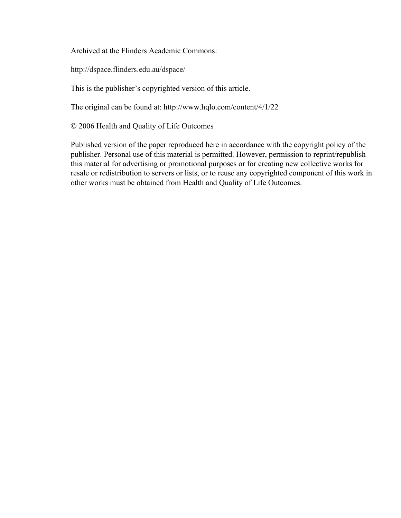Archived at the Flinders Academic Commons:

http://dspace.flinders.edu.au/dspace/

This is the publisher's copyrighted version of this article.

The original can be found at: http://www.hqlo.com/content/4/1/22

© 2006 Health and Quality of Life Outcomes

Published version of the paper reproduced here in accordance with the copyright policy of the publisher. Personal use of this material is permitted. However, permission to reprint/republish this material for advertising or promotional purposes or for creating new collective works for resale or redistribution to servers or lists, or to reuse any copyrighted component of this work in other works must be obtained from Health and Quality of Life Outcomes.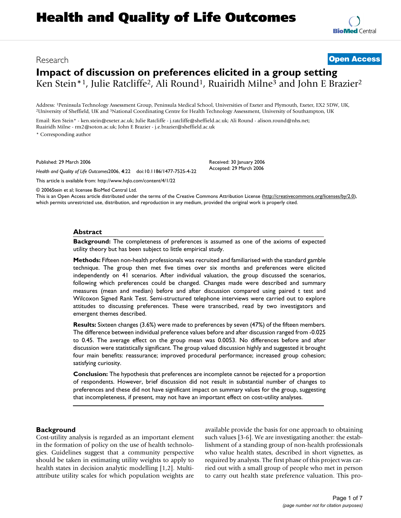# **Impact of discussion on preferences elicited in a group setting** Ken Stein<sup>\*1</sup>, Julie Ratcliffe<sup>2</sup>, Ali Round<sup>1</sup>, Ruairidh Milne<sup>3</sup> and John E Brazier<sup>2</sup>

Address: <sup>1</sup>Peninsula Technology Assessment Group, Peninsula Medical School, Universities of Exeter and Plymouth, Exeter, EX2 5DW, UK, <sup>2</sup>University of Sheffield, UK and <sup>3</sup>National Coordinating Centre for Health Technolog

Email: Ken Stein\* - ken.stein@exeter.ac.uk; Julie Ratcliffe - j.ratcliffe@sheffield.ac.uk; Ali Round - alison.round@nhs.net; Ruairidh Milne - rm2@soton.ac.uk; John E Brazier - j.e.brazier@sheffield.ac.uk

\* Corresponding author

Published: 29 March 2006

*Health and Quality of Life Outcomes*2006, **4**:22 doi:10.1186/1477-7525-4-22

[This article is available from: http://www.hqlo.com/content/4/1/22](http://www.hqlo.com/content/4/1/22)

© 2006Stein et al; licensee BioMed Central Ltd.

This is an Open Access article distributed under the terms of the Creative Commons Attribution License [\(http://creativecommons.org/licenses/by/2.0\)](http://creativecommons.org/licenses/by/2.0), which permits unrestricted use, distribution, and reproduction in any medium, provided the original work is properly cited.

Received: 30 January 2006 Accepted: 29 March 2006

### **Abstract**

**Background:** The completeness of preferences is assumed as one of the axioms of expected utility theory but has been subject to little empirical study.

**Methods:** Fifteen non-health professionals was recruited and familiarised with the standard gamble technique. The group then met five times over six months and preferences were elicited independently on 41 scenarios. After individual valuation, the group discussed the scenarios, following which preferences could be changed. Changes made were described and summary measures (mean and median) before and after discussion compared using paired t test and Wilcoxon Signed Rank Test. Semi-structured telephone interviews were carried out to explore attitudes to discussing preferences. These were transcribed, read by two investigators and emergent themes described.

**Results:** Sixteen changes (3.6%) were made to preferences by seven (47%) of the fifteen members. The difference between individual preference values before and after discussion ranged from -0.025 to 0.45. The average effect on the group mean was 0.0053. No differences before and after discussion were statistically significant. The group valued discussion highly and suggested it brought four main benefits: reassurance; improved procedural performance; increased group cohesion; satisfying curiosity.

**Conclusion:** The hypothesis that preferences are incomplete cannot be rejected for a proportion of respondents. However, brief discussion did not result in substantial number of changes to preferences and these did not have significant impact on summary values for the group, suggesting that incompleteness, if present, may not have an important effect on cost-utility analyses.

## **Background**

Cost-utility analysis is regarded as an important element in the formation of policy on the use of health technologies. Guidelines suggest that a community perspective should be taken in estimating utility weights to apply to health states in decision analytic modelling [1,2]. Multiattribute utility scales for which population weights are available provide the basis for one approach to obtaining such values [3-6]. We are investigating another: the establishment of a standing group of non-health professionals who value health states, described in short vignettes, as required by analysts. The first phase of this project was carried out with a small group of people who met in person to carry out health state preference valuation. This pro-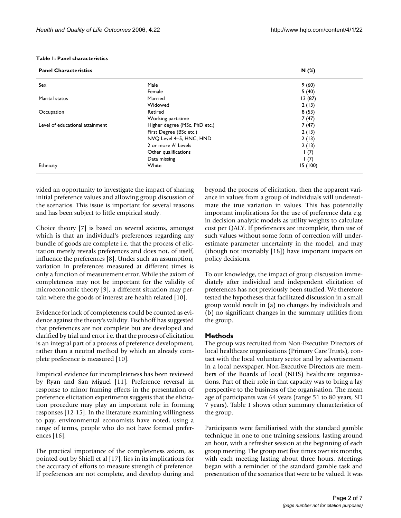| <b>Panel Characteristics</b>    |                               | N(%)     |
|---------------------------------|-------------------------------|----------|
| Sex                             | Male                          | 9(60)    |
|                                 | Female                        | 5(40)    |
| Marital status                  | Married                       | 13(87)   |
|                                 | Widowed                       | 2(13)    |
| Occupation                      | Retired                       | 8(53)    |
|                                 | Working part-time             | 7(47)    |
| Level of educational attainment | Higher degree (MSc, PhD etc.) | 7(47)    |
|                                 | First Degree (BSc etc.)       | 2(13)    |
|                                 | NVO Level 4-5, HNC, HND       | 2(13)    |
|                                 | 2 or more A' Levels           | 2(13)    |
|                                 | Other qualifications          | 1(7)     |
|                                 | Data missing                  | 1(7)     |
| Ethnicity                       | White                         | 15 (100) |

vided an opportunity to investigate the impact of sharing initial preference values and allowing group discussion of the scenarios. This issue is important for several reasons and has been subject to little empirical study.

Choice theory [7] is based on several axioms, amongst which is that an individual's preferences regarding any bundle of goods are complete i.e. that the process of elicitation merely reveals preferences and does not, of itself, influence the preferences [8]. Under such an assumption, variation in preferences measured at different times is only a function of measurement error. While the axiom of completeness may not be important for the validity of microeconomic theory [9], a different situation may pertain where the goods of interest are health related [10].

Evidence for lack of completeness could be counted as evidence against the theory's validity. Fischhoff has suggested that preferences are not complete but are developed and clarified by trial and error i.e. that the process of elicitation is an integral part of a process of preference development, rather than a neutral method by which an already complete preference is measured [10].

Empirical evidence for incompleteness has been reviewed by Ryan and San Miguel [11]. Preference reversal in response to minor framing effects in the presentation of preference elicitation experiments suggests that the elicitation procedure may play an important role in forming responses [12-15]. In the literature examining willingness to pay, environmental economists have noted, using a range of terms, people who do not have formed preferences [16].

The practical importance of the completeness axiom, as pointed out by Shiell et al [17], lies in its implications for the accuracy of efforts to measure strength of preference. If preferences are not complete, and develop during and

beyond the process of elicitation, then the apparent variance in values from a group of individuals will underestimate the true variation in values. This has potentially important implications for the use of preference data e.g. in decision analytic models as utility weights to calculate cost per QALY. If preferences are incomplete, then use of such values without some form of correction will underestimate parameter uncertainty in the model, and may (though not invariably [18]) have important impacts on policy decisions.

To our knowledge, the impact of group discussion immediately after individual and independent elicitation of preferences has not previously been studied. We therefore tested the hypotheses that facilitated discussion in a small group would result in (a) no changes by individuals and (b) no significant changes in the summary utilities from the group.

## **Methods**

The group was recruited from Non-Executive Directors of local healthcare organisations (Primary Care Trusts), contact with the local voluntary sector and by advertisement in a local newspaper. Non-Executive Directors are members of the Boards of local (NHS) healthcare organisations. Part of their role in that capacity was to bring a lay perspective to the business of the organisation. The mean age of participants was 64 years (range 51 to 80 years, SD 7 years). Table 1 shows other summary characteristics of the group.

Participants were familiarised with the standard gamble technique in one to one training sessions, lasting around an hour, with a refresher session at the beginning of each group meeting. The group met five times over six months, with each meeting lasting about three hours. Meetings began with a reminder of the standard gamble task and presentation of the scenarios that were to be valued. It was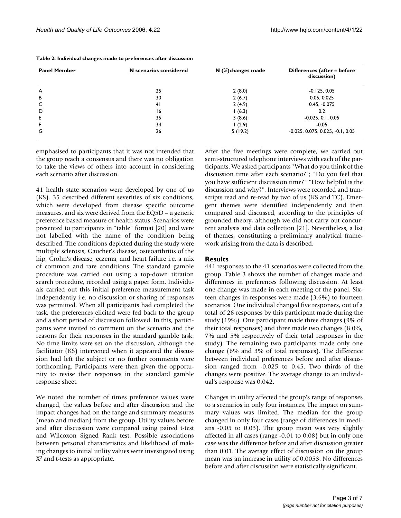| <b>Panel Member</b> | N scenarios considered | $N$ (%) changes made | Differences (after - before<br>discussion) |  |
|---------------------|------------------------|----------------------|--------------------------------------------|--|
| A                   | 25                     | 2(8.0)               | $-0.125, 0.05$                             |  |
| в                   | 30                     | 2(6.7)               | 0.05, 0.025                                |  |
|                     | 41                     | 2(4.9)               | $0.45, -0.075$                             |  |
| D                   | 16                     | 1(6.3)               | 0.2                                        |  |
|                     | 35                     | 3(8.6)               | $-0.025, 0.1, 0.05$                        |  |
|                     | 34                     | 1(2.9)               | $-0.05$                                    |  |
| G                   | 26                     | 5(19.2)              | $-0.025, 0.075, 0.025, -0.1, 0.05$         |  |

**Table 2: Individual changes made to preferences after discussion**

emphasised to participants that it was not intended that the group reach a consensus and there was no obligation to take the views of others into account in considering each scenario after discussion.

41 health state scenarios were developed by one of us (KS). 35 described different severities of six conditions, which were developed from disease specific outcome measures, and six were derived from the EQ5D – a generic preference based measure of health status. Scenarios were presented to participants in "table" format [20] and were not labelled with the name of the condition being described. The conditions depicted during the study were multiple sclerosis, Gaucher's disease, osteoarthritis of the hip, Crohn's disease, eczema, and heart failure i.e. a mix of common and rare conditions. The standard gamble procedure was carried out using a top-down titration search procedure, recorded using a paper form. Individuals carried out this initial preference measurement task independently i.e. no discussion or sharing of responses was permitted. When all participants had completed the task, the preferences elicited were fed back to the group and a short period of discussion followed. In this, participants were invited to comment on the scenario and the reasons for their responses in the standard gamble task. No time limits were set on the discussion, although the facilitator (KS) intervened when it appeared the discussion had left the subject or no further comments were forthcoming. Participants were then given the opportunity to revise their responses in the standard gamble response sheet.

We noted the number of times preference values were changed, the values before and after discussion and the impact changes had on the range and summary measures (mean and median) from the group. Utility values before and after discussion were compared using paired t-test and Wilcoxon Signed Rank test. Possible associations between personal characteristics and likelihood of making changes to initial utility values were investigated using X2 and t-tests as appropriate.

After the five meetings were complete, we carried out semi-structured telephone interviews with each of the participants. We asked participants "What do you think of the discussion time after each scenario?"; "Do you feel that you have sufficient discussion time?" "How helpful is the discussion and why?". Interviews were recorded and transcripts read and re-read by two of us (KS and TC). Emergent themes were identified independently and then compared and discussed, according to the principles of grounded theory, although we did not carry out concurrent analysis and data collection [21]. Nevertheless, a list of themes, constituting a preliminary analytical framework arising from the data is described.

## **Results**

441 responses to the 41 scenarios were collected from the group. Table 3 shows the number of changes made and differences in preferences following discussion. At least one change was made in each meeting of the panel. Sixteen changes in responses were made (3.6%) to fourteen scenarios. One individual changed five responses, out of a total of 26 responses by this participant made during the study (19%). One participant made three changes (9% of their total responses) and three made two changes (8.0%, 7% and 5% respectively of their total responses in the study). The remaining two participants made only one change (6% and 3% of total responses). The difference between individual preferences before and after discussion ranged from -0.025 to 0.45. Two thirds of the changes were positive. The average change to an individual's response was 0.042.

Changes in utility affected the group's range of responses to a scenarios in only four instances. The impact on summary values was limited. The median for the group changed in only four cases (range of differences in medians -0.05 to 0.03). The group mean was very slightly affected in all cases (range -0.01 to 0.08) but in only one case was the difference before and after discussion greater than 0.01. The average effect of discussion on the group mean was an increase in utility of 0.0053. No differences before and after discussion were statistically significant.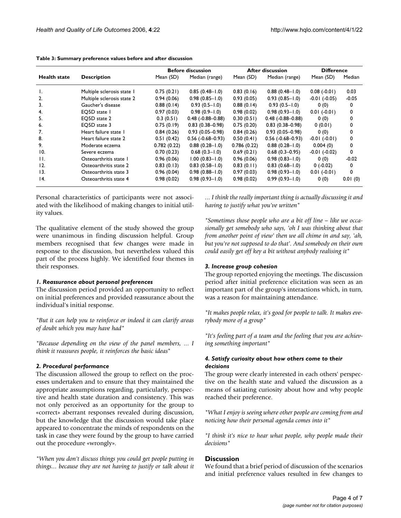|                     |                            | <b>Before discussion</b> |                           | <b>After discussion</b> |                           | <b>Difference</b> |         |
|---------------------|----------------------------|--------------------------|---------------------------|-------------------------|---------------------------|-------------------|---------|
| <b>Health state</b> | <b>Description</b>         | Mean (SD)                | Median (range)            | Mean (SD)               | Median (range)            | Mean (SD)         | Median  |
| Ι.                  | Multiple sclerosis state 1 | 0.75(0.21)               | $0.85(0.48-1.0)$          | 0.83(0.16)              | $0.88(0.48-1.0)$          | $0.08(-0.01)$     | 0.03    |
| $\overline{2}$ .    | Multiple sclerosis state 2 | 0.94(0.06)               | $0.98(0.85 - 1.0)$        | 0.93(0.05)              | $0.93(0.85 - 1.0)$        | $-0.01$ $(-0.05)$ | $-0.05$ |
| 3.                  | Gaucher's disease          | 0.88(0.14)               | $0.93(0.5 - 1.0)$         | 0.88(0.14)              | $0.93(0.5 - 1.0)$         | 0(0)              | 0       |
| 4.                  | EQ5D state 1               | 0.97(0.03)               | $0.98(0.9 - 1.0)$         | 0.98(0.02)              | $0.98(0.93 - 1.0)$        | $0.01(-0.01)$     | 0       |
| 5.                  | EO5D state 2               | 0.3(0.51)                | $0.48$ ( $-0.88 - 0.88$ ) | 0.30(0.51)              | $0.48$ ( $-0.88 - 0.88$ ) | 0(0)              | 0       |
| 6.                  | EO5D state 3               | 0.75(0.19)               | $0.83(0.38 - 0.98)$       | 0.75(0.20)              | $0.83(0.38 - 0.98)$       | 0(0.01)           | 0       |
| 7.                  | Heart failure state 1      | 0.84(0.26)               | $0.93(0.05 - 0.98)$       | 0.84(0.26)              | $0.93(0.05 - 0.98)$       | 0(0)              | 0       |
| 8.                  | Heart failure state 2      | 0.51(0.42)               | $0.56(-0.68-0.93)$        | 0.50(0.41)              | $0.56$ ( $-0.68 - 0.93$ ) | $-0.01(-0.01)$    | 0       |
| 9.                  | Moderate eczema            | 0.782(0.22)              | $0.88(0.28 - 1.0)$        | 0.786(0.22)             | $0.88(0.28 - 1.0)$        | 0.004(0)          | 0       |
| 10.                 | Severe eczema              | 0.70(0.23)               | $0.68(0.3 - 1.0)$         | 0.69(0.21)              | $0.68(0.3-0.95)$          | $-0.01$ $(-0.02)$ | 0       |
| H.                  | Osteoarthritis state 1     | 0.96(0.06)               | $1.00(0.83 - 1.0)$        | 0.96(0.06)              | $0.98(0.83 - 1.0)$        | 0(0)              | $-0.02$ |
| 12.                 | Osteoarthritis state 2     | 0.83(0.13)               | $0.83(0.58 - 1.0)$        | 0.83(0.11)              | $0.83(0.68 - 1.0)$        | 0(.0.02)          | 0       |
| 13.                 | Osteoarthritis state 3     | 0.96(0.04)               | $0.98(0.88 - 1.0)$        | 0.97(0.03)              | $0.98(0.93 - 1.0)$        | $0.01(-0.01)$     | 0       |
| 14.                 | Osteoarthritis state 4     | 0.98(0.02)               | $0.98(0.93 - 1.0)$        | 0.98(0.02)              | $0.99(0.93 - 1.0)$        | 0(0)              | 0.01(0) |

#### **Table 3: Summary preference values before and after discussion**

Personal characteristics of participants were not associated with the likelihood of making changes to initial utility values.

The qualitative element of the study showed the group were unanimous in finding discussion helpful. Group members recognised that few changes were made in response to the discussion, but nevertheless valued this part of the process highly. We identified four themes in their responses.

#### *1. Reassurance about personal preferences*

The discussion period provided an opportunity to reflect on initial preferences and provided reassurance about the individual's initial response.

*"But it can help you to reinforce or indeed it can clarify areas of doubt which you may have had"*

*"Because depending on the view of the panel members, ... I think it reassures people, it reinforces the basic ideas*"

### *2. Procedural performance*

The discussion allowed the group to reflect on the processes undertaken and to ensure that they maintained the appropriate assumptions regarding, particularly, perspective and health state duration and consistency. This was not only perceived as an opportunity for the group to «correct» aberrant responses revealed during discussion, but the knowledge that the discussion would take place appeared to concentrate the minds of respondents on the task in case they were found by the group to have carried out the procedure «wrongly».

*"When you don't discuss things you could get people putting in things... because they are not having to justify or talk about it* *... I think the really important thing is actually discussing it and having to justify what you've written"*

*"Sometimes those people who are a bit off line – like we occasionally get somebody who says, 'oh I was thinking about that from another point of view' then we all chime in and say, 'ah, but you're not supposed to do that'. And somebody on their own could easily get off key a bit without anybody realising it"*

#### *3. Increase group cohesion*

The group reported enjoying the meetings. The discussion period after initial preference elicitation was seen as an important part of the group's interactions which, in turn, was a reason for maintaining attendance.

*"It makes people relax, it's good for people to talk. It makes everybody more of a group"*

*"It's feeling part of a team and the feeling that you are achieving something important"*

## *4. Satisfy curiosity about how others come to their decisions*

The group were clearly interested in each others' perspective on the health state and valued the discussion as a means of satiating curiosity about how and why people reached their preference.

*"What I enjoy is seeing where other people are coming from and noticing how their personal agenda comes into it"*

*"I think it's nice to hear what people, why people made their decisions"*

## **Discussion**

We found that a brief period of discussion of the scenarios and initial preference values resulted in few changes to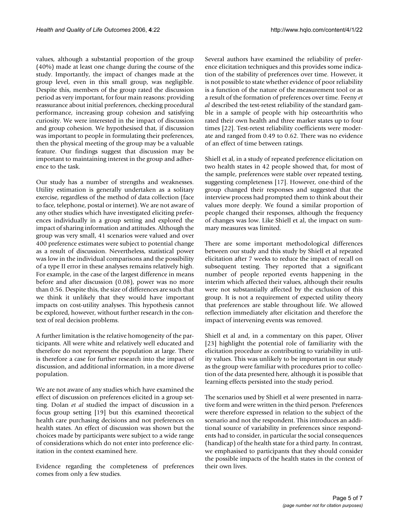values, although a substantial proportion of the group (40%) made at least one change during the course of the study. Importantly, the impact of changes made at the group level, even in this small group, was negligible. Despite this, members of the group rated the discussion period as very important, for four main reasons: providing reassurance about initial preferences, checking procedural performance, increasing group cohesion and satisfying curiosity. We were interested in the impact of discussion and group cohesion. We hypothesised that, if discussion was important to people in formulating their preferences, then the physical meeting of the group may be a valuable feature. Our findings suggest that discussion may be important to maintaining interest in the group and adherence to the task.

Our study has a number of strengths and weaknesses. Utility estimation is generally undertaken as a solitary exercise, regardless of the method of data collection (face to face, telephone, postal or internet). We are not aware of any other studies which have investigated eliciting preferences individually in a group setting and explored the impact of sharing information and attitudes. Although the group was very small, 41 scenarios were valued and over 400 preference estimates were subject to potential change as a result of discussion. Nevertheless, statistical power was low in the individual comparisons and the possibility of a type II error in these analyses remains relatively high. For example, in the case of the largest difference in means before and after discussion (0.08), power was no more than 0.56. Despite this, the size of differences are such that we think it unlikely that they would have important impacts on cost-utility analyses. This hypothesis cannot be explored, however, without further research in the context of real decision problems.

A further limitation is the relative homogeneity of the participants. All were white and relatively well educated and therefore do not represent the population at large. There is therefore a case for further research into the impact of discussion, and additional information, in a more diverse population.

We are not aware of any studies which have examined the effect of discussion on preferences elicited in a group setting. Dolan *et al* studied the impact of discussion in a focus group setting [19] but this examined theoretical health care purchasing decisions and not preferences on health states. An effect of discussion was shown but the choices made by participants were subject to a wide range of considerations which do not enter into preference elicitation in the context examined here.

Evidence regarding the completeness of preferences comes from only a few studies.

Several authors have examined the reliability of preference elicitation techniques and this provides some indication of the stability of preferences over time. However, it is not possible to state whether evidence of poor reliability is a function of the nature of the measurement tool or as a result of the formation of preferences over time. Feeny *et al* described the test-retest reliability of the standard gamble in a sample of people with hip osteoarthritis who rated their own health and three marker states up to four times [22]. Test-retest reliability coefficients were moderate and ranged from 0.49 to 0.62. There was no evidence of an effect of time between ratings.

Shiell et al, in a study of repeated preference elicitation on two health states in 42 people showed that, for most of the sample, preferences were stable over repeated testing, suggesting completeness [17]. However, one-third of the group changed their responses and suggested that the interview process had prompted them to think about their values more deeply. We found a similar proportion of people changed their responses, although the frequency of changes was low. Like Shiell et al, the impact on summary measures was limited.

There are some important methodological differences between our study and this study by Shiell et al repeated elicitation after 7 weeks to reduce the impact of recall on subsequent testing. They reported that a significant number of people reported events happening in the interim which affected their values, although their results were not substantially affected by the exclusion of this group. It is not a requirement of expected utility theory that preferences are stable throughout life. We allowed reflection immediately after elicitation and therefore the impact of intervening events was removed.

Shiell et al and, in a commentary on this paper, Oliver [23] highlight the potential role of familiarity with the elicitation procedure as contributing to variability in utility values. This was unlikely to be important in our study as the group were familiar with procedures prior to collection of the data presented here, although it is possible that learning effects persisted into the study period.

The scenarios used by Shiell et al were presented in narrative form and were written in the third person. Preferences were therefore expressed in relation to the subject of the scenario and not the respondent. This introduces an additional source of variability in preferences since respondents had to consider, in particular the social consequences (handicap) of the health state for a third party. In contrast, we emphasised to participants that they should consider the possible impacts of the health states in the context of their own lives.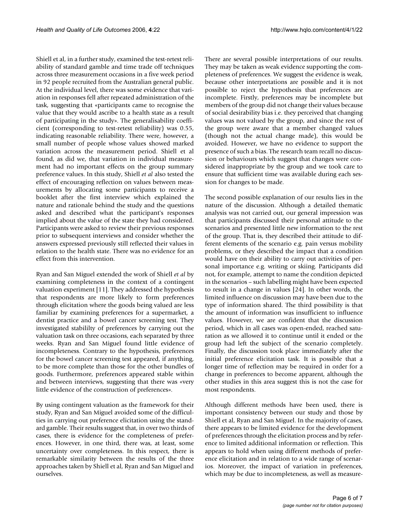Shiell et al, in a further study, examined the test-retest reliability of standard gamble and time trade off techniques across three measurement occasions in a five week period in 92 people recruited from the Australian general public. At the individual level, there was some evidence that variation in responses fell after repeated administration of the task, suggesting that «participants came to recognise the value that they would ascribe to a health state as a result of participating in the study». The generalisability coefficient (corresponding to test-retest reliability) was 0.55, indicating reasonable reliability. There were, however, a small number of people whose values showed marked variation across the measurement period. Shiell et al found, as did we, that variation in individual measurement had no important effects on the group summary preference values. In this study, Shiell *et al* also tested the effect of encouraging reflection on values between measurements by allocating some participants to receive a booklet after the first interview which explained the nature and rationale behind the study and the questions asked and described what the participant's responses implied about the value of the state they had considered. Participants were asked to review their previous responses prior to subsequent interviews and consider whether the answers expressed previously still reflected their values in relation to the health state. There was no evidence for an effect from this intervention.

Ryan and San Miguel extended the work of Shiell *et al* by examining completeness in the context of a contingent valuation experiment [11]. They addressed the hypothesis that respondents are more likely to form preferences through elicitation where the goods being valued are less familiar by examining preferences for a supermarket, a dentist practice and a bowel cancer screening test. They investigated stabililty of preferences by carrying out the valuation task on three occasions, each separated by three weeks. Ryan and San Miguel found little evidence of incompleteness. Contrary to the hypothesis, preferences for the bowel cancer screening test appeared, if anything, to be more complete than those for the other bundles of goods. Furthermore, preferences appeared stable within and between interviews, suggesting that there was «very little evidence of the construction of preferences».

By using contingent valuation as the framework for their study, Ryan and San Miguel avoided some of the difficulties in carrying out preference elicitation using the standard gamble. Their results suggest that, in over two thirds of cases, there is evidence for the completeness of preferences. However, in one third, there was, at least, some uncertainty over completeness. In this respect, there is remarkable similarity between the results of the three approaches taken by Shiell et al, Ryan and San Miguel and ourselves.

There are several possible interpretations of our results. They may be taken as weak evidence supporting the completeness of preferences. We suggest the evidence is weak, because other interpretations are possible and it is not possible to reject the hypothesis that preferences are incomplete. Firstly, preferences may be incomplete but members of the group did not change their values because of social desirability bias i.e. they perceived that changing values was not valued by the group, and since the rest of the group were aware that a member changed values (though not the actual change made), this would be avoided. However, we have no evidence to support the presence of such a bias. The research team recall no discussion or behaviours which suggest that changes were considered inappropriate by the group and we took care to ensure that sufficient time was available during each session for changes to be made.

The second possible explanation of our results lies in the nature of the discussion. Although a detailed thematic analysis was not carried out, our general impression was that participants discussed their personal attitude to the scenarios and presented little new information to the rest of the group. That is, they described their attitude to different elements of the scenario e.g. pain versus mobility problems, or they described the impact that a condition would have on their ability to carry out activities of personal importance e.g. writing or skiing. Participants did not, for example, attempt to name the condition depicted in the scenarios – such labelling might have been expected to result in a change in values [24]. In other words, the limited influence on discussion may have been due to the type of information shared. The third possibility is that the amount of information was insufficient to influence values. However, we are confident that the discussion period, which in all cases was open-ended, reached saturation as we allowed it to continue until it ended or the group had left the subject of the scenario completely. Finally, the discussion took place immediately after the initial preference elicitation task. It is possible that a longer time of reflection may be required in order for a change in preferences to become apparent, although the other studies in this area suggest this is not the case for most respondents.

Although different methods have been used, there is important consistency between our study and those by Shiell et al, Ryan and San Miguel. In the majority of cases, there appears to be limited evidence for the development of preferences through the elicitation process and by reference to limited additional information or reflection. This appears to hold when using different methods of preference elicitation and in relation to a wide range of scenarios. Moreover, the impact of variation in preferences, which may be due to incompleteness, as well as measure